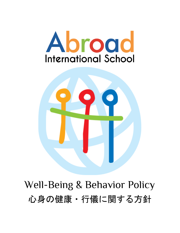



Well-Being & Behavior Policy 心身の健康・行儀に関する方針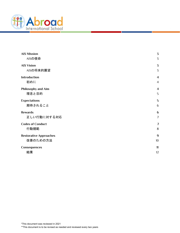

| <b>AIS Mission</b>            | 3                |
|-------------------------------|------------------|
| AISの使命                        | 3                |
| <b>AIS Vision</b>             | 3                |
| AISの将来的展望                     | 3                |
| <b>Introduction</b>           | $\boldsymbol{4}$ |
| 初めに                           | $\overline{4}$   |
| Philosophy and Aim            | $\overline{4}$   |
| 理念と目的                         | 5                |
| <b>Expectations</b>           | 5                |
| 期待されること                       | 6                |
| <b>Rewards</b>                | 6                |
| 正しい行動に対する対応                   | $\overline{7}$   |
| <b>Codes of Conduct</b>       | $\overline{7}$   |
| 行動規範                          | 8                |
| <b>Restorative Approaches</b> | 9                |
| 改善のための方法                      | 10               |
| Consequences                  | 11               |
| 結果                            | 12               |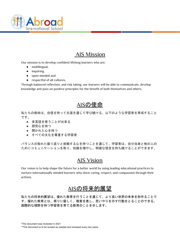

### AIS Mission

<span id="page-2-0"></span>Our mission is to develop confident lifelong learners who are;

- multilingual,
- inquiring,
- open-minded and
- respectful of all cultures.

<span id="page-2-1"></span>Through balanced reflection, and risk taking, our learners will be able to communicate, develop knowledge and pass on positive principles for the benefit of both themselves and others.

### AISの使命

私たちの使命は、自信を持って生涯を通じて学び続ける、以下のような学習者を育成すること です。

- 多言語を使うことが出来る
- 探究心を持つ
- 開かれた心を持つ
- すべての文化を尊重する学習者

<span id="page-2-2"></span>バランスの取れた振り返りと挑戦する心を持つことを通じて、学習者は、自分自身と他の人の ためにコミュニケーションを取り、知識を増やし、明確な信念を持ち続けることができます。

### AIS Vision

<span id="page-2-3"></span>Our vision is to help shape the future for a better world by using leading educational practices to nurture internationally minded learners who show caring, respect, and compassion through their actions.

# AISの将来的展望

私たちの将来的展望は、優れた教育を行うことを通じて、より良い世界の未来を形作ることで す。優れた教育とは、周りに優しく、敬意を表し、思いやりを示す行動をとることのできる、 国際的な視野を持つ学習者を育てる教育のことを示します。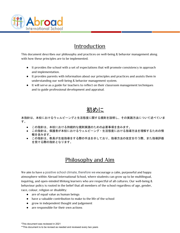

### **Introduction**

<span id="page-3-0"></span>This document describes our philosophy and practices on well-being & behavior management along with how these principles are to be implemented.

- It provides the school with a set of expectations that will promote consistency in approach and implementation.
- It provides parents with information about our principles and practices and assists them in understanding our well-being & behavior management system.
- It will serve as a guide for teachers to reflect on their classroom management techniques and to guide professional development and appraisal.

# 初めに

<span id="page-3-1"></span>本指針は、本校におけるウェルビーングと生活態度に関する規則を説明し、その実践方法について述べていま す。

- この指針は、本校における持続的な規則実践のための必要事項を含みます。
- この指針は、保護者が本校におけるウェルビーング・生活態度における指導方法を理解するための情 報を含みます。
- <span id="page-3-2"></span>● この指針は、教員が生徒指導をする際の手法を示しており、指導方法の改定を行う際、また指導評価 を受ける際の指針となります。

### Philosophy and Aim

We aim to have a positive school climate, therefore we encourage a calm, purposeful and happy atmosphere within Abroad International School, where students can grow up to be multilingual, inquiring, and open-minded lifelong learners who are respectful of all cultures. Our well-being & behaviour policy is rooted in the belief that all members of the school regardless of age, gender, race, colour, religion or disability:

- are of equal value as human beings
- have a valuable contribution to make to the life of the school
- grow in independent thought and judgement
- are responsible for their own actions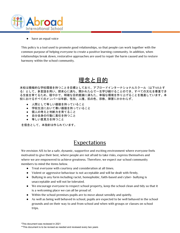

have an equal voice

This policy is a tool used to promote good relationships, so that people can work together with the common purpose of helping everyone to create a positive learning community. In addition, when relationships break down, restorative approaches are used to repair the harm caused and to restore harmony within the school community.

# 理念と目的

<span id="page-4-0"></span>本校は積極的な学校環境を持つことを目標としており、アブロードインターナショナルスクール(以下AISとす る)として、多言語を用い、探求心に満ち、開かれた心で一生学び続けることのでき、すべての文化を尊重でき る生徒を育てるため、穏やかで、明確な目的意識に満ちた、幸福な環境を作り上げることを推進しています。本 校におけるすべてのメンバーは年齢、性別、人種、肌の色、宗教、障害にかかわらず、

- 人間として等しい価値を持っていること
- 学校生活において尊い価値を持っていること
- 個人の考えと判断力を育てること
- 自分自身の行動に青任を持つこと
- 等しい意見力を持つこと

<span id="page-4-1"></span>を信念として、本指針は作られています。

#### Expectations

We envision AIS to be a safe, dynamic, supportive and exciting environment where everyone feels motivated to give their best, where people are not afraid to take risks, express themselves and where we are empowered to achieve greatness. Therefore, we expect our school community members to mind the items below.

- Treat everyone with courtesy and consideration at all times.
- Violent or aggressive behaviour is not acceptable and will be dealt with firmly.
- Bullying in any form including racist, homophobic, faith-based and cyber- bullying is unacceptable and will not be tolerated.
- We encourage everyone to respect school property, keep the school clean and tidy so that it is a welcoming place we can all be proud of.
- Within the school premises pupils are to move about sensibly and quietly.
- As well as being well behaved in school, pupils are expected to be well behaved in the school grounds and on their way to and from school and when with groups or classes on school trips.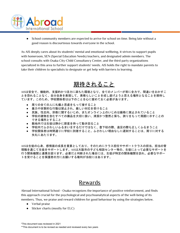

● School community members are expected to arrive for school on time. Being late without a good reason is discourteous towards everyone in the school.

As AIS deeply cares about its students' mental and emotional wellbeing, it strives to support pupils with homeroom, SEN (Special Education Needs) teachers, and designated admin members. The school consults with Osaka City-Child Consultancy Center, and the third party organizations specialized in this area to further support students' needs. AIS holds the right to mandate parents to take their children to specialists to designate or get help with barriers to learning.

# 期待されること

<span id="page-5-0"></span>AISは安全で、機能的、支援的かつ活力に満ちた環境となり、全てのメンバーが常に全力で、間違いをおかすこ とを恐れることなく、自分自身を表現して、素晴らしいことを成し遂げようと思える場所となることを期待し ています。このため、学校関係者は以下のことを心に留めておく必要があります。

- 周りの全ての人に礼儀と思慮をもって接すること
- 暴力や攻撃的な行動は禁止され、厳しい対応を受けること
- 民族、性志向、宗教に関するいじめ、またオンライン上のいじめは厳格に禁止されていること
- 学校の建物を含むすべての備品を大切に扱い、清潔かつ整然と保ち、誇りをもって周囲に示すことの できる場所とすること
- 敷地内では生徒は静かに節度を持って動き回ること
- 学校内でふさわしいふるまいをするだけではなく、登下校の際、遠足の際も正しくふるまうこと
- 学校関係者は時間通りに学校に到着すること。ふさわしい理由なしに遅刻することは、周りに対する 失礼にあたります。

<span id="page-5-1"></span>AISは生徒の心身、感情面の成長を重要としており、そのためにクラス担任やサポートクラスの担当、担当の管 理職を通じて生徒をサポートします。AISは大阪市の子ども相談センター等の、生徒にとって必要なサポートを 行う関係機関と連携を図ります。必要だと判断された場合には、生徒が特定の関係機関を訪れ、必要なサポー トを受けることを保護者の方にお願いする権利が当校にはあります。

#### Rewards

Abroad International School - Osaka recognizes the importance of positive reinforcement, and finds this approach crucial for the psychological and psychoanalytical aspects of the well-being of its members. Thus, we praise and reward children for good behaviour by using the strategies below.

- Verbal praise
- Sticker charts (mostly for ELC)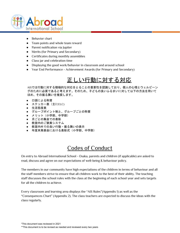

- **Behavior chart**
- Team points and whole team reward
- Parent notification via Jupiter
- Merits (for Primary and Secondary)
- Certificates during monthly assemblies
- Class jar and celebration time
- Displaying the good work/behavior in classroom and around school
- <span id="page-6-0"></span>● Year End Performance - Achievement Awards (for Primary and Secondary)

# 正しい行動に対する対応

AISでは行動に対する積極的な対応をとることの重要性を認識しており、個人の心理とウェルビーン グのために必要であると考えます。そのため、子どもの良いふるまいに対して以下の方法を用いて ほめ、その振る舞いを推奨します。

- 口頭による称賛
- ステッカー表 (主にELC)
- 生活態度表
- グループポイント制と、グループごとの称賛
- メリット(小学部、中学部)
- 月ごとの集会での表彰
- 教室内のご褒美システム
- 教室内外での良い行動・振る舞いの表示
- <span id="page-6-1"></span>● 年度末発表会における表彰式 (小学部、中学部)

# Codes of Conduct

On entry to Abroad International School - Osaka, parents and children (if applicable) are asked to read, discuss and agree on our expectations of well-being & behaviour policy.

The members in our community have high expectations of the children in terms of behaviour and all the staff members strive to ensure that all children work to the best of their ability. The teaching staff discusses the school rules with the class at the beginning of each school year and sets targets for all the children to achieve.

Every classroom and learning area displays the "AIS Rules"(Appendix 1) as well as the "Consequences Chart" (Appendix 2). The class teachers are expected to discuss the ideas with the class regularly.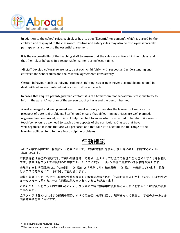

In addition to the school rules, each class has its own "Essential Agreement", which is agreed by the children and displayed in the classroom. Routine and safety rules may also be displayed separately, perhaps on a list next to the essential agreement.

It is the responsibility of the teaching staff to ensure that the rules are enforced in their class, and that their class behaves in a responsible manner during lesson time.

All staff develop cultural awareness, treat each child fairly, with respect and understanding and enforces the school rules and the essential agreements consistently.

Certain behaviour such as bullying, rudeness, fighting, swearing is never acceptable and should be dealt with when encountered using a restorative approach.

In cases that require parent/guardian contact, it is the homeroom teacher/admin' s responsibility to inform the parent/guardian of the person causing harm and the person harmed.

A well-managed and well planned environment not only stimulates the learner but reduces the prospect of potential problems. Staff should ensure that all learning activities are well planned, organised and resourced, as this will help the child to know what is expected of her/him. We need to teach behaviour as we need to teach other aspects of the curriculum. Classes that have well-organised lessons that are well prepared and that take into account the full range of the learning abilities, tend to have few discipline problems.

# 行動規範

<span id="page-7-0"></span>AISに入学する際には、保護者と(必要に応じて)生徒は本指針を読み、話し合いの上、同意することが 求められます。

本校関係者は生徒の行動に対して高い期待を持っており、全スタッフは全ての生徒が全力を尽くすことを目指し ます。教員は各クラスで年度初めに学校のルールについて話し、是dン生徒が達成すべき目標を設定します。

全教室を含む学習環境には「AIS規則」(付録1)と「規則に対する結果表」(付録2)を表示しています。担任 はクラスで定期的にこれらに関して話し合います。

学校の規則に加え、各クラスには全生徒が同意して教室に表示された「必須合意事項」があります。日々の生活 ルールと安全に関するルールも同様に貼り出されていることがあります。

これらのルールをクラス内で用いることと、クラスの生徒が授業中に責任あるふるまいをすることは教員の責任 であります。

全スタッフは各文化に対する認識を高め、すべての生徒に公平に接し、理解をもって尊重し、学校のルールと必 須合意事項を常に用います。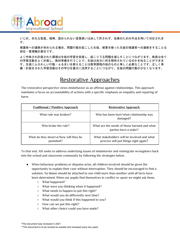

いじめ、失礼な態度、喧嘩、認められない言葉使いは決して許されず、改善のための手法を用いて対応されま す。

保護者への連絡が求められる場合、問題行動を起こした生徒、被害を被った生徒の保護者への連絡をすることは 担任・管理職の責任です。

よく吟味され計画された環境は生徒の学習を促進し、起こりうる問題を減らすことにつながります。教員は全て の学習活動をよく計画し、教材準備を行うことで、生徒は自分に何を期待されているのかを知ることができま す。生徒にふさわしい行動・ふるまいを教えることは教育課程の他のものと等しく必要なことです。正しく準 備・計画をされた学習活動はその学びを最大に活用することにつながり、生徒の問題行動が少なくなります。

#### Restorative Approaches

<span id="page-8-0"></span>The restorative perspective views misbehavior as an offense against relationships. This approach maintains a focus on accountability of actions with a specific emphasis on empathy and repairing of harm.

| <b>Traditional / Punitive Approach</b>             | <b>Restorative Approach</b>                                                         |
|----------------------------------------------------|-------------------------------------------------------------------------------------|
| What rule was broken?                              | Who has been hurt/what relationship was<br>damaged?                                 |
| Who broke the rule?                                | What are the needs of those harmed and what<br>parties have a stake?                |
| What do they deserve/how will they be<br>punished? | What stakeholders will be involved and what<br>process will put things right again? |

To that end, AIS seeks to address underlying issues of misbehavior and reintegrate wrongdoers back into the school and classroom community by following the strategies below.

- When behaviour problems or disputes arise, all children involved should be given the opportunity to explain their case without interruption. They should be encouraged to find a solution. No blame should be attached to one child more than another until all facts have been determined. When our pupils find themselves in conflict or upset we might ask them;
	- What happened?
	- What were you thinking when it happened?
	- What needs to happen to put this right?
	- What would you do differently next time?
	- What would you think if this happened to you?
	- How can we put this right?
	- What other choice could you have made?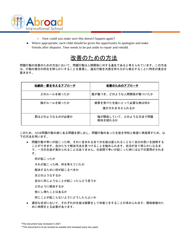

- How could you make sure this doesn't happen again?
- Where appropriate, each child should be given the opportunity to apologize and make friends after disputes. Time needs to be put aside to repair and rebuild.

## 改善のための方法

<span id="page-9-0"></span>問題行動の改善のための方法において、問題行動は人間関係に対する違反であると考えられています。この方法 は、行動の責任の所在を明らかにすることを重視し、違反行動を共感を持ちながら修正することに特定の重点を 置きます。

| 伝統的・罰を与えるアプローチ | 改善のためのアプローチ                        |
|----------------|------------------------------------|
| どのルールを破ったか     | 誰が傷つき、どのような人間関係が傷ついたか              |
| 誰がルールを破ったか     | 被害を受けた生徒にとって必要な物は何か<br>誰がそれを与えられるか |
| 罰はどのようなものが必要か  | 誰が関係していて、どのような方法で問題<br>解決を図れるか     |

このため、AISは問題行動の底にある問題を探し出し、問題行動のあった生徒を学校と教室に再度戻すため、以 下の方法を用います。

● 問題行動や争いが起こった時、それに含まれる全ての生徒は遮られることなく自分の思いを説明する ことができます。自分たちで解決方法を見つけることを勧められます。状況が全て明らかになるま で、一方の生徒が責められることはありません。生徒間で争いが起こった時には以下の質問がされま す。

何が起こったか

それが起こった時、何を考えていたか

解決するために何が起こるべきか

次どのようなするか

自分に同じようなことが起こったらどう思うか

どのように解決するか

他にし得たことはあるか

同じことが起こらないようにどうしたらよいか

適切な状況において、それぞれの生徒は謝罪をして仲直りをすることが求められます。関係修復のた めに時間をとる必要があります。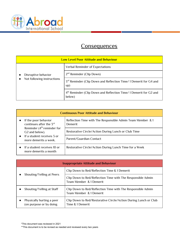

### **Consequences**

<span id="page-10-0"></span>

| <b>Low Level Poor Attitude and Behaviour</b>      |                                                                                        |
|---------------------------------------------------|----------------------------------------------------------------------------------------|
| Disruptive behavior<br>Not following instructions | <b>Verbal Reminder of Expectations</b>                                                 |
|                                                   | $2nd$ Reminder (Clip Down)                                                             |
|                                                   | 3 <sup>rd</sup> Reminder (Clip Down and Reflection Time/1 Demerit for G4 and<br>up)    |
|                                                   | 4 <sup>th</sup> Reminder (Clip Down and Reflection Time/1 Demerit for G2 and<br>below) |

| <b>Continuous Poor Attitude and Behaviour</b>                                                                     |                                                                              |  |
|-------------------------------------------------------------------------------------------------------------------|------------------------------------------------------------------------------|--|
| If the poor behavior<br>continues after the $5^{\text{rd}}$                                                       | Reflection Time with The Responsible Admin Team Member & 1<br><b>Demerit</b> |  |
| Reminder $(4th$ reminder for<br>G <sub>2</sub> and below).<br>If a student receives 3 or<br>more demerits a week. | Restorative Circle/Action During Lunch or Club Time                          |  |
|                                                                                                                   | Parent/Guardian Contact                                                      |  |
| If a student receives 10 or<br>more demerits a month                                                              | Restorative Circle/Action During Lunch Time for a Week                       |  |

| <b>Inappropriate Attitude and Behaviour</b>          |                                                                                        |
|------------------------------------------------------|----------------------------------------------------------------------------------------|
| Shouting/Yelling at Peers                            | Clip Down to Red/Reflection Time & 1 Demerit                                           |
|                                                      | Clip Down to Red/Reflection Time with The Responsible Admin<br>Team Member & 1 Demerit |
| Shouting/Yelling at Staff                            | Clip Down to Red/Reflection Time with The Responsible Admin<br>Team Member & 1 Demerit |
| Physically hurting a peer<br>(on purpose or by doing | Clip Down to Red/Restorative Circle/Action During Lunch or Club<br>Time & 1 Demerit    |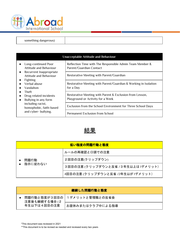

| something dangerous) |  |
|----------------------|--|
|                      |  |

| Unacceptable Attitude and Behaviour                                                                                                                                                                                                                                                                  |                                                                                               |  |
|------------------------------------------------------------------------------------------------------------------------------------------------------------------------------------------------------------------------------------------------------------------------------------------------------|-----------------------------------------------------------------------------------------------|--|
| Long-continued Poor<br>Attitude and Behaviour<br>• Recurrent Inappropriate<br>Attitude and Behaviour<br><b>Fighting</b><br>Verbal abuse<br>Vandalism<br>Theft<br>Drug related incidents<br>$\bullet$<br>Bullying in any form<br>including racist,<br>homophobic, faith-based<br>and cyber- bullying. | Reflection Time with The Responsible Admin Team Member &<br>Parent/Guardian Contact           |  |
|                                                                                                                                                                                                                                                                                                      | Restorative Meeting with Parent/Guardian                                                      |  |
|                                                                                                                                                                                                                                                                                                      | Restorative Meeting with Parent/Guardian & Working in Isolation<br>for a Day                  |  |
|                                                                                                                                                                                                                                                                                                      | Restorative Meeting with Parent & Exclusion from Lesson,<br>Playground or Activity for a Week |  |
|                                                                                                                                                                                                                                                                                                      | Exclusion from the School Environment for Three School Days                                   |  |
|                                                                                                                                                                                                                                                                                                      | <b>Permanent Exclusion from School</b>                                                        |  |

## 結果

<span id="page-11-0"></span>

| 低い程度の問題行動と態度    |                                   |
|-----------------|-----------------------------------|
| 問題行動<br>指示に従わない | ルールの再確認と口頭での注意                    |
|                 | 2回目の注意(クリップダウン)                   |
|                 | 3回目の注意(クリップダウンと反省 / 3年生以上は1デメリット) |
|                 | 4回目の注意(クリップダウンと反省 /2年生以が1デメリット)   |

|                              | 継続した問題行動と態度                  |                  |
|------------------------------|------------------------------|------------------|
| 注意後も継続する場合 (2<br>年生以下は4回目の注意 | 問題行動と態度が3回目の 1デメリットと管理職との反省会 |                  |
|                              |                              | お昼休みまたはクラブ中による指導 |